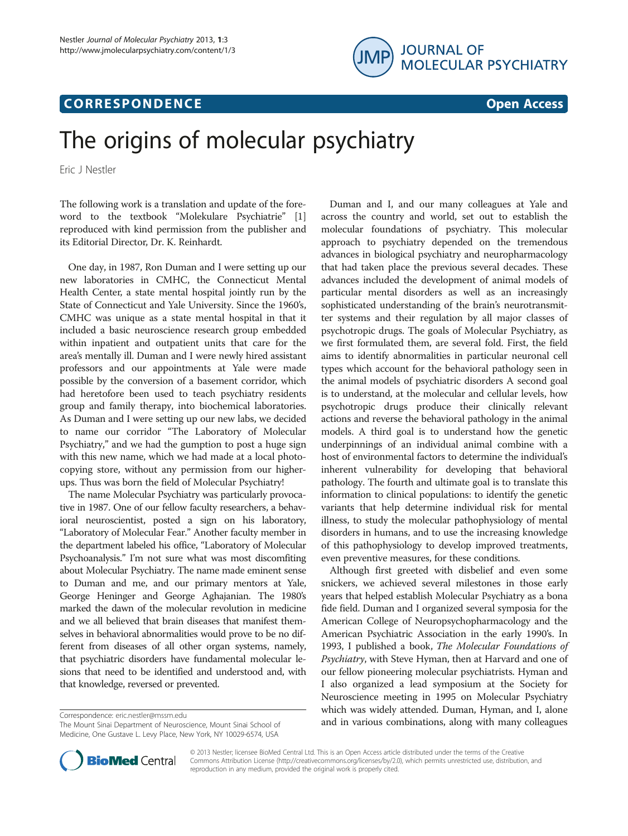## **CORRESPONDENCE CORRESPONDENCE** *CORRESPONDENCE*



# The origins of molecular psychiatry

Eric J Nestler

The following work is a translation and update of the foreword to the textbook "Molekulare Psychiatrie" [[1](#page-1-0)] reproduced with kind permission from the publisher and its Editorial Director, Dr. K. Reinhardt.

One day, in 1987, Ron Duman and I were setting up our new laboratories in CMHC, the Connecticut Mental Health Center, a state mental hospital jointly run by the State of Connecticut and Yale University. Since the 1960's, CMHC was unique as a state mental hospital in that it included a basic neuroscience research group embedded within inpatient and outpatient units that care for the area's mentally ill. Duman and I were newly hired assistant professors and our appointments at Yale were made possible by the conversion of a basement corridor, which had heretofore been used to teach psychiatry residents group and family therapy, into biochemical laboratories. As Duman and I were setting up our new labs, we decided to name our corridor "The Laboratory of Molecular Psychiatry," and we had the gumption to post a huge sign with this new name, which we had made at a local photocopying store, without any permission from our higherups. Thus was born the field of Molecular Psychiatry!

The name Molecular Psychiatry was particularly provocative in 1987. One of our fellow faculty researchers, a behavioral neuroscientist, posted a sign on his laboratory, "Laboratory of Molecular Fear." Another faculty member in the department labeled his office, "Laboratory of Molecular Psychoanalysis." I'm not sure what was most discomfiting about Molecular Psychiatry. The name made eminent sense to Duman and me, and our primary mentors at Yale, George Heninger and George Aghajanian. The 1980's marked the dawn of the molecular revolution in medicine and we all believed that brain diseases that manifest themselves in behavioral abnormalities would prove to be no different from diseases of all other organ systems, namely, that psychiatric disorders have fundamental molecular lesions that need to be identified and understood and, with that knowledge, reversed or prevented.

The Mount Sinai Department of Neuroscience, Mount Sinai School of Medicine, One Gustave L. Levy Place, New York, NY 10029-6574, USA



Although first greeted with disbelief and even some snickers, we achieved several milestones in those early years that helped establish Molecular Psychiatry as a bona fide field. Duman and I organized several symposia for the American College of Neuropsychopharmacology and the American Psychiatric Association in the early 1990's. In 1993, I published a book, The Molecular Foundations of Psychiatry, with Steve Hyman, then at Harvard and one of our fellow pioneering molecular psychiatrists. Hyman and I also organized a lead symposium at the Society for Neuroscience meeting in 1995 on Molecular Psychiatry which was widely attended. Duman, Hyman, and I, alone Correspondence: [eric.nestler@mssm.edu](mailto:eric.nestler@mssm.edu)<br>The Mount Sinai Department of Neuroscience. Mount Sinai School of and in various combinations, along with many colleagues



© 2013 Nestler; licensee BioMed Central Ltd. This is an Open Access article distributed under the terms of the Creative Commons Attribution License [\(http://creativecommons.org/licenses/by/2.0\)](http://creativecommons.org/licenses/by/2.0), which permits unrestricted use, distribution, and reproduction in any medium, provided the original work is properly cited.